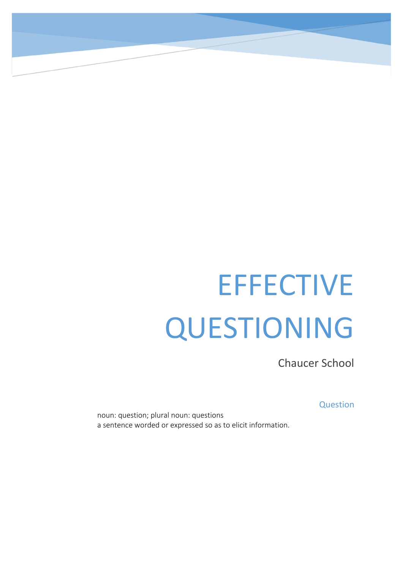# **EFFECTIVE** QUESTIONING

Chaucer School

**Question** 

noun: question; plural noun: questions a sentence worded or expressed so as to elicit information.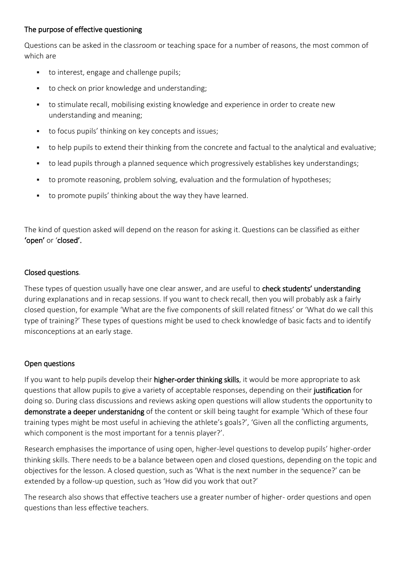# The purpose of effective questioning

Questions can be asked in the classroom or teaching space for a number of reasons, the most common of which are

- to interest, engage and challenge pupils;
- to check on prior knowledge and understanding;
- to stimulate recall, mobilising existing knowledge and experience in order to create new understanding and meaning;
- to focus pupils' thinking on key concepts and issues;
- to help pupils to extend their thinking from the concrete and factual to the analytical and evaluative;
- to lead pupils through a planned sequence which progressively establishes key understandings;
- to promote reasoning, problem solving, evaluation and the formulation of hypotheses;
- to promote pupils' thinking about the way they have learned.

The kind of question asked will depend on the reason for asking it. Questions can be classified as either 'open' or 'closed'.

### Closed questions.

These types of question usually have one clear answer, and are useful to check students' understanding during explanations and in recap sessions. If you want to check recall, then you will probably ask a fairly closed question, for example 'What are the five components of skill related fitness' or 'What do we call this type of training?' These types of questions might be used to check knowledge of basic facts and to identify misconceptions at an early stage.

### Open questions

If you want to help pupils develop their **higher-order thinking skills**, it would be more appropriate to ask questions that allow pupils to give a variety of acceptable responses, depending on their justification for doing so. During class discussions and reviews asking open questions will allow students the opportunity to demonstrate a deeper understanidng of the content or skill being taught for example 'Which of these four training types might be most useful in achieving the athlete's goals?', 'Given all the conflicting arguments, which component is the most important for a tennis player?'.

Research emphasises the importance of using open, higher-level questions to develop pupils' higher-order thinking skills. There needs to be a balance between open and closed questions, depending on the topic and objectives for the lesson. A closed question, such as 'What is the next number in the sequence?' can be extended by a follow-up question, such as 'How did you work that out?'

The research also shows that effective teachers use a greater number of higher- order questions and open questions than less effective teachers.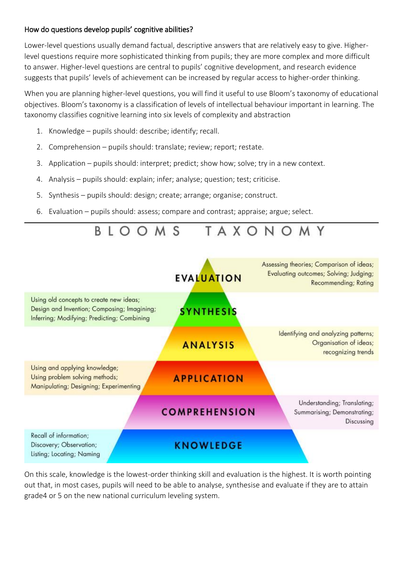# How do questions develop pupils' cognitive abilities?

Lower-level questions usually demand factual, descriptive answers that are relatively easy to give. Higherlevel questions require more sophisticated thinking from pupils; they are more complex and more difficult to answer. Higher-level questions are central to pupils' cognitive development, and research evidence suggests that pupils' levels of achievement can be increased by regular access to higher-order thinking.

When you are planning higher-level questions, you will find it useful to use Bloom's taxonomy of educational objectives. Bloom's taxonomy is a classification of levels of intellectual behaviour important in learning. The taxonomy classifies cognitive learning into six levels of complexity and abstraction

- 1. Knowledge pupils should: describe; identify; recall.
- 2. Comprehension pupils should: translate; review; report; restate.
- 3. Application pupils should: interpret; predict; show how; solve; try in a new context.
- 4. Analysis pupils should: explain; infer; analyse; question; test; criticise.
- 5. Synthesis pupils should: design; create; arrange; organise; construct.
- 6. Evaluation pupils should: assess; compare and contrast; appraise; argue; select.



On this scale, knowledge is the lowest-order thinking skill and evaluation is the highest. It is worth pointing out that, in most cases, pupils will need to be able to analyse, synthesise and evaluate if they are to attain grade4 or 5 on the new national curriculum leveling system.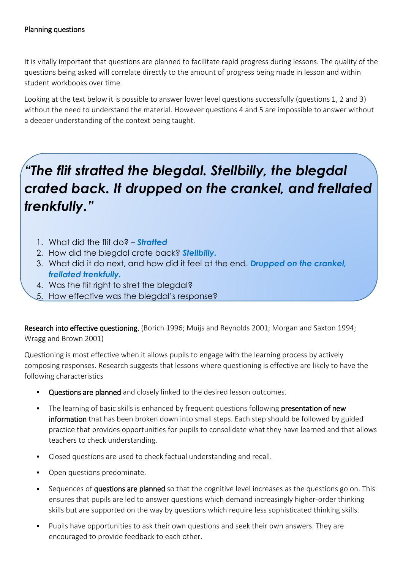# Planning questions

It is vitally important that questions are planned to facilitate rapid progress during lessons. The quality of the questions being asked will correlate directly to the amount of progress being made in lesson and within student workbooks over time.

Looking at the text below it is possible to answer lower level questions successfully (questions 1, 2 and 3) without the need to understand the material. However questions 4 and 5 are impossible to answer without a deeper understanding of the context being taught.

# *"The flit stratted the blegdal. Stellbilly, the blegdal crated back. It drupped on the crankel, and frellated trenkfully."*

- 1. What did the flit do? *Stratted*
- 2. How did the blegdal crate back? *Stellbilly.*
- 3. What did it do next, and how did it feel at the end. *Drupped on the crankel, frellated trenkfully.*
- 4. Was the flit right to stret the blegdal?
- 5. How effective was the blegdal's response?

Research into effective questioning. (Borich 1996; Muijs and Reynolds 2001; Morgan and Saxton 1994; Wragg and Brown 2001)

Questioning is most effective when it allows pupils to engage with the learning process by actively composing responses. Research suggests that lessons where questioning is effective are likely to have the following characteristics

- Questions are planned and closely linked to the desired lesson outcomes.
- The learning of basic skills is enhanced by frequent questions following presentation of new information that has been broken down into small steps. Each step should be followed by guided practice that provides opportunities for pupils to consolidate what they have learned and that allows teachers to check understanding.
- Closed questions are used to check factual understanding and recall.
- Open questions predominate.
- Sequences of questions are planned so that the cognitive level increases as the questions go on. This ensures that pupils are led to answer questions which demand increasingly higher-order thinking skills but are supported on the way by questions which require less sophisticated thinking skills.
- Pupils have opportunities to ask their own questions and seek their own answers. They are encouraged to provide feedback to each other.